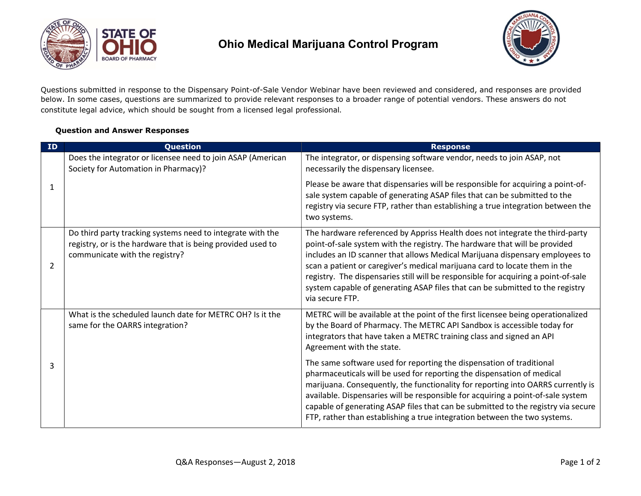

## Ohio Medical Marijuana Control Program



Questions submitted in response to the Dispensary Point-of-Sale Vendor Webinar have been reviewed and considered, and responses are provided below. In some cases, questions are summarized to provide relevant responses to a broader range of potential vendors. These answers do not constitute legal advice, which should be sought from a licensed legal professional.

## Question and Answer Responses

| ID             | Question                                                                                                                                                    | <b>Response</b>                                                                                                                                                                                                                                                                                                                                                                                                                                                                                                    |
|----------------|-------------------------------------------------------------------------------------------------------------------------------------------------------------|--------------------------------------------------------------------------------------------------------------------------------------------------------------------------------------------------------------------------------------------------------------------------------------------------------------------------------------------------------------------------------------------------------------------------------------------------------------------------------------------------------------------|
| $\mathbf{1}$   | Does the integrator or licensee need to join ASAP (American<br>Society for Automation in Pharmacy)?                                                         | The integrator, or dispensing software vendor, needs to join ASAP, not<br>necessarily the dispensary licensee.                                                                                                                                                                                                                                                                                                                                                                                                     |
|                |                                                                                                                                                             | Please be aware that dispensaries will be responsible for acquiring a point-of-<br>sale system capable of generating ASAP files that can be submitted to the<br>registry via secure FTP, rather than establishing a true integration between the<br>two systems.                                                                                                                                                                                                                                                   |
| $\overline{2}$ | Do third party tracking systems need to integrate with the<br>registry, or is the hardware that is being provided used to<br>communicate with the registry? | The hardware referenced by Appriss Health does not integrate the third-party<br>point-of-sale system with the registry. The hardware that will be provided<br>includes an ID scanner that allows Medical Marijuana dispensary employees to<br>scan a patient or caregiver's medical marijuana card to locate them in the<br>registry. The dispensaries still will be responsible for acquiring a point-of-sale<br>system capable of generating ASAP files that can be submitted to the registry<br>via secure FTP. |
| 3              | What is the scheduled launch date for METRC OH? Is it the<br>same for the OARRS integration?                                                                | METRC will be available at the point of the first licensee being operationalized<br>by the Board of Pharmacy. The METRC API Sandbox is accessible today for<br>integrators that have taken a METRC training class and signed an API<br>Agreement with the state.                                                                                                                                                                                                                                                   |
|                |                                                                                                                                                             | The same software used for reporting the dispensation of traditional<br>pharmaceuticals will be used for reporting the dispensation of medical<br>marijuana. Consequently, the functionality for reporting into OARRS currently is<br>available. Dispensaries will be responsible for acquiring a point-of-sale system<br>capable of generating ASAP files that can be submitted to the registry via secure<br>FTP, rather than establishing a true integration between the two systems.                           |